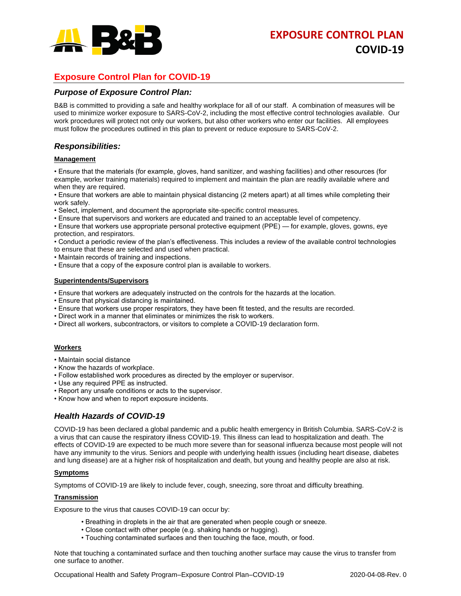

# **Exposure Control Plan for COVID-19**

### *Purpose of Exposure Control Plan:*

B&B is committed to providing a safe and healthy workplace for all of our staff. A combination of measures will be used to minimize worker exposure to SARS-CoV-2, including the most effective control technologies available. Our work procedures will protect not only our workers, but also other workers who enter our facilities. All employees must follow the procedures outlined in this plan to prevent or reduce exposure to SARS-CoV-2.

### *Responsibilities:*

#### **Management**

• Ensure that the materials (for example, gloves, hand sanitizer, and washing facilities) and other resources (for example, worker training materials) required to implement and maintain the plan are readily available where and when they are required.

• Ensure that workers are able to maintain physical distancing (2 meters apart) at all times while completing their work safely.

- Select, implement, and document the appropriate site-specific control measures.
- Ensure that supervisors and workers are educated and trained to an acceptable level of competency.

• Ensure that workers use appropriate personal protective equipment (PPE) — for example, gloves, gowns, eye protection, and respirators.

• Conduct a periodic review of the plan's effectiveness. This includes a review of the available control technologies to ensure that these are selected and used when practical.

• Maintain records of training and inspections.

• Ensure that a copy of the exposure control plan is available to workers.

#### **Superintendents/Supervisors**

- Ensure that workers are adequately instructed on the controls for the hazards at the location.
- Ensure that physical distancing is maintained.
- Ensure that workers use proper respirators, they have been fit tested, and the results are recorded.
- Direct work in a manner that eliminates or minimizes the risk to workers.
- Direct all workers, subcontractors, or visitors to complete a COVID-19 declaration form.

#### **Workers**

- Maintain social distance
- Know the hazards of workplace.
- Follow established work procedures as directed by the employer or supervisor.
- Use any required PPE as instructed.
- Report any unsafe conditions or acts to the supervisor.
- Know how and when to report exposure incidents.

# *Health Hazards of COVID-19*

COVID-19 has been declared a global pandemic and a public health emergency in British Columbia. SARS-CoV-2 is a virus that can cause the respiratory illness COVID-19. This illness can lead to hospitalization and death. The effects of COVID-19 are expected to be much more severe than for seasonal influenza because most people will not have any immunity to the virus. Seniors and people with underlying health issues (including heart disease, diabetes and lung disease) are at a higher risk of hospitalization and death, but young and healthy people are also at risk.

#### **Symptoms**

Symptoms of COVID-19 are likely to include fever, cough, sneezing, sore throat and difficulty breathing.

#### **Transmission**

Exposure to the virus that causes COVID-19 can occur by:

- Breathing in droplets in the air that are generated when people cough or sneeze.
- Close contact with other people (e.g. shaking hands or hugging).
- Touching contaminated surfaces and then touching the face, mouth, or food.

Note that touching a contaminated surface and then touching another surface may cause the virus to transfer from one surface to another.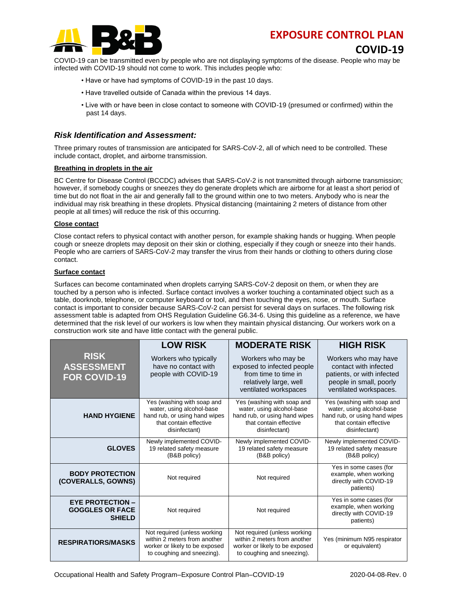# **EXPOSURE CONTROL PLAN**



**COVID-19**

COVID-19 can be transmitted even by people who are not displaying symptoms of the disease. People who may be infected with COVID-19 should not come to work. This includes people who:

- Have or have had symptoms of COVID-19 in the past 10 days.
- Have travelled outside of Canada within the previous 14 days.
- Live with or have been in close contact to someone with COVID-19 (presumed or confirmed) within the past 14 days.

# *Risk Identification and Assessment:*

Three primary routes of transmission are anticipated for SARS-CoV-2, all of which need to be controlled. These include contact, droplet, and airborne transmission.

#### **Breathing in droplets in the air**

BC Centre for Disease Control (BCCDC) advises that SARS-CoV-2 is not transmitted through airborne transmission; however, if somebody coughs or sneezes they do generate droplets which are airborne for at least a short period of time but do not float in the air and generally fall to the ground within one to two meters. Anybody who is near the individual may risk breathing in these droplets. Physical distancing (maintaining 2 meters of distance from other people at all times) will reduce the risk of this occurring.

#### **Close contact**

Close contact refers to physical contact with another person, for example shaking hands or hugging. When people cough or sneeze droplets may deposit on their skin or clothing, especially if they cough or sneeze into their hands. People who are carriers of SARS-CoV-2 may transfer the virus from their hands or clothing to others during close contact.

#### **Surface contact**

Surfaces can become contaminated when droplets carrying SARS-CoV-2 deposit on them, or when they are touched by a person who is infected. Surface contact involves a worker touching a contaminated object such as a table, doorknob, telephone, or computer keyboard or tool, and then touching the eyes, nose, or mouth. Surface contact is important to consider because SARS-CoV-2 can persist for several days on surfaces. The following risk assessment table is adapted from OHS Regulation Guideline G6.34-6. Using this guideline as a reference, we have determined that the risk level of our workers is low when they maintain physical distancing. Our workers work on a construction work site and have little contact with the general public.

|                                                                    | <b>LOW RISK</b>                                                                                                                     | <b>MODERATE RISK</b>                                                                                                                | <b>HIGH RISK</b>                                                                                                                    |
|--------------------------------------------------------------------|-------------------------------------------------------------------------------------------------------------------------------------|-------------------------------------------------------------------------------------------------------------------------------------|-------------------------------------------------------------------------------------------------------------------------------------|
| <b>RISK</b><br><b>ASSESSMENT</b><br><b>FOR COVID-19</b>            | Workers who typically<br>have no contact with<br>people with COVID-19                                                               | Workers who may be<br>exposed to infected people<br>from time to time in<br>relatively large, well<br>ventilated workspaces         | Workers who may have<br>contact with infected<br>patients, or with infected<br>people in small, poorly<br>ventilated workspaces.    |
| <b>HAND HYGIENE</b>                                                | Yes (washing with soap and<br>water, using alcohol-base<br>hand rub, or using hand wipes<br>that contain effective<br>disinfectant) | Yes (washing with soap and<br>water, using alcohol-base<br>hand rub, or using hand wipes<br>that contain effective<br>disinfectant) | Yes (washing with soap and<br>water, using alcohol-base<br>hand rub, or using hand wipes<br>that contain effective<br>disinfectant) |
| <b>GLOVES</b>                                                      | Newly implemented COVID-<br>19 related safety measure<br>(B&B policy)                                                               | Newly implemented COVID-<br>19 related safety measure<br>(B&B policy)                                                               | Newly implemented COVID-<br>19 related safety measure<br>(B&B policy)                                                               |
| <b>BODY PROTECTION</b><br>(COVERALLS, GOWNS)                       | Not required                                                                                                                        | Not required                                                                                                                        | Yes in some cases (for<br>example, when working<br>directly with COVID-19<br>patients)                                              |
| <b>EYE PROTECTION -</b><br><b>GOGGLES OR FACE</b><br><b>SHIELD</b> | Not required                                                                                                                        | Not required                                                                                                                        | Yes in some cases (for<br>example, when working<br>directly with COVID-19<br>patients)                                              |
| <b>RESPIRATIORS/MASKS</b>                                          | Not required (unless working<br>within 2 meters from another<br>worker or likely to be exposed<br>to coughing and sneezing).        | Not required (unless working<br>within 2 meters from another<br>worker or likely to be exposed<br>to coughing and sneezing).        | Yes (minimum N95 respirator<br>or equivalent)                                                                                       |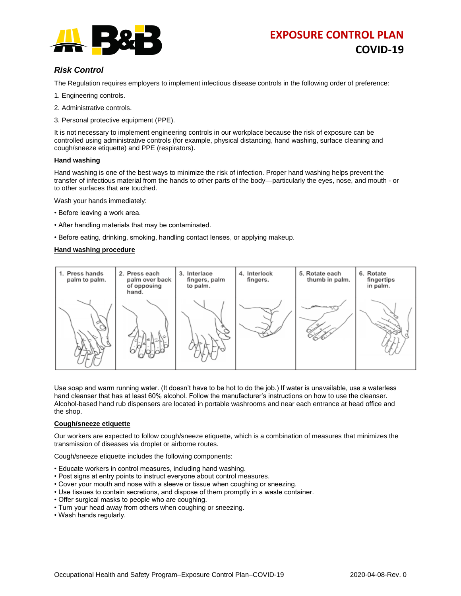

# **EXPOSURE CONTROL PLAN COVID-19**

# *Risk Control*

The Regulation requires employers to implement infectious disease controls in the following order of preference:

- 1. Engineering controls.
- 2. Administrative controls.
- 3. Personal protective equipment (PPE).

It is not necessary to implement engineering controls in our workplace because the risk of exposure can be controlled using administrative controls (for example, physical distancing, hand washing, surface cleaning and cough/sneeze etiquette) and PPE (respirators).

#### **Hand washing**

Hand washing is one of the best ways to minimize the risk of infection. Proper hand washing helps prevent the transfer of infectious material from the hands to other parts of the body—particularly the eyes, nose, and mouth - or to other surfaces that are touched.

Wash your hands immediately:

- Before leaving a work area.
- After handling materials that may be contaminated.
- Before eating, drinking, smoking, handling contact lenses, or applying makeup.

#### **Hand washing procedure**



Use soap and warm running water. (It doesn't have to be hot to do the job.) If water is unavailable, use a waterless hand cleanser that has at least 60% alcohol. Follow the manufacturer's instructions on how to use the cleanser. Alcohol-based hand rub dispensers are located in portable washrooms and near each entrance at head office and the shop.

#### **Cough/sneeze etiquette**

Our workers are expected to follow cough/sneeze etiquette, which is a combination of measures that minimizes the transmission of diseases via droplet or airborne routes.

Cough/sneeze etiquette includes the following components:

- Educate workers in control measures, including hand washing.
- Post signs at entry points to instruct everyone about control measures.
- Cover your mouth and nose with a sleeve or tissue when coughing or sneezing.
- Use tissues to contain secretions, and dispose of them promptly in a waste container.
- Offer surgical masks to people who are coughing.
- Turn your head away from others when coughing or sneezing.
- Wash hands regularly.